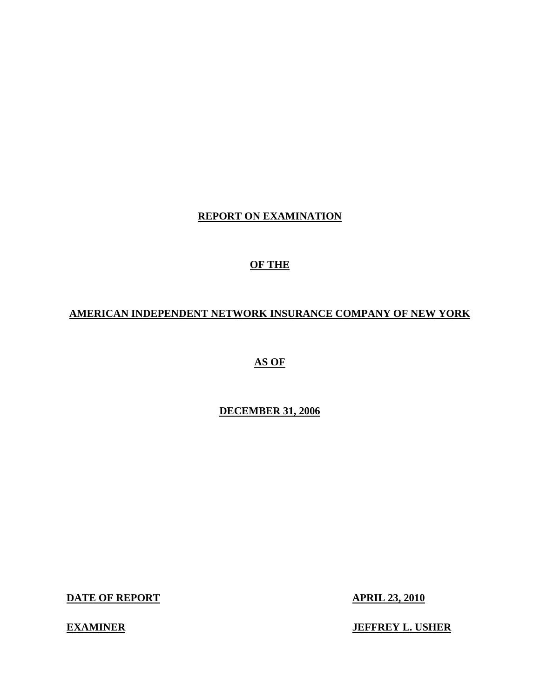# **REPORT ON EXAMINATION**

# **OF THE**

# **AMERICAN INDEPENDENT NETWORK INSURANCE COMPANY OF NEW YORK**

# **AS OF**

# **DECEMBER 31, 2006**

**DATE OF REPORT APRIL 23, 2010** 

 **EXAMINER JEFFREY L. USHER**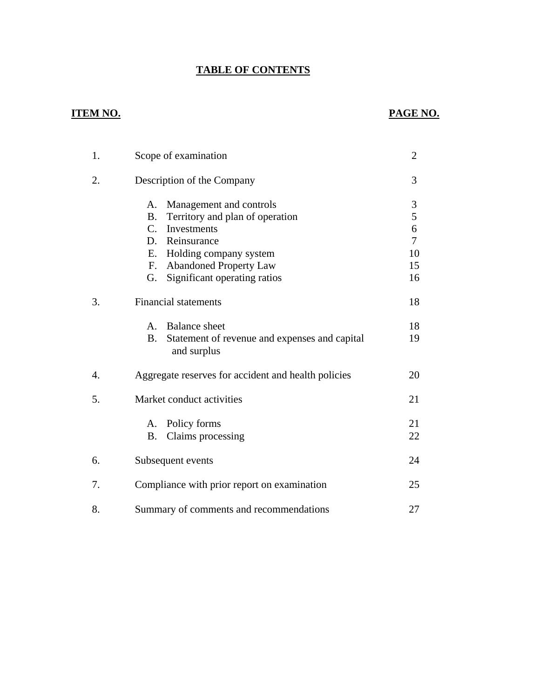# **TABLE OF CONTENTS**

# **ITEM NO. PAGE NO.**

| 1. | Scope of examination                                                                                                                                                                                                                       | $\overline{2}$                                                 |
|----|--------------------------------------------------------------------------------------------------------------------------------------------------------------------------------------------------------------------------------------------|----------------------------------------------------------------|
| 2. | Description of the Company                                                                                                                                                                                                                 | 3                                                              |
|    | Management and controls<br>А.<br>Territory and plan of operation<br><b>B.</b><br>$C_{\cdot}$<br>Investments<br>D. Reinsurance<br>Holding company system<br>E.<br><b>Abandoned Property Law</b><br>F.<br>Significant operating ratios<br>G. | 3<br>5<br>$\boldsymbol{6}$<br>$\overline{7}$<br>10<br>15<br>16 |
| 3. | <b>Financial statements</b>                                                                                                                                                                                                                | 18                                                             |
|    | <b>Balance</b> sheet<br>$A_{1}$<br><b>B.</b><br>Statement of revenue and expenses and capital<br>and surplus                                                                                                                               | 18<br>19                                                       |
| 4. | Aggregate reserves for accident and health policies                                                                                                                                                                                        | 20                                                             |
| 5. | Market conduct activities                                                                                                                                                                                                                  | 21                                                             |
|    | A. Policy forms<br>Claims processing<br><b>B.</b>                                                                                                                                                                                          | 21<br>22                                                       |
| 6. | Subsequent events                                                                                                                                                                                                                          | 24                                                             |
| 7. | Compliance with prior report on examination                                                                                                                                                                                                | 25                                                             |
| 8. | Summary of comments and recommendations                                                                                                                                                                                                    | 27                                                             |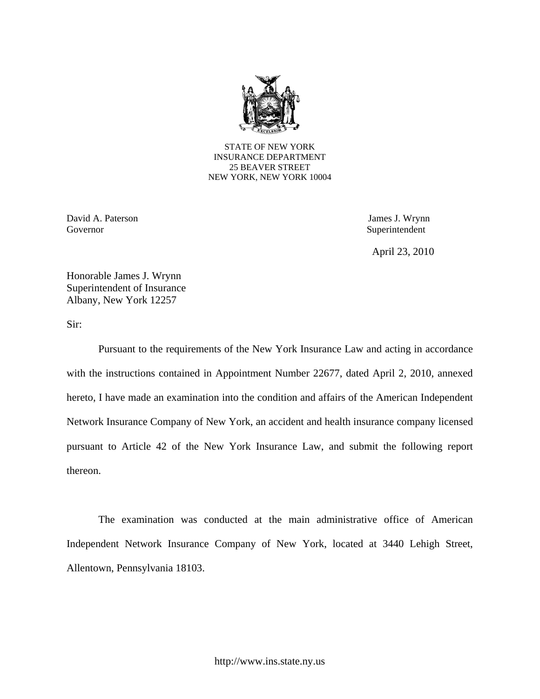

STATE OF NEW YORK INSURANCE DEPARTMENT 25 BEAVER STREET NEW YORK, NEW YORK 10004

David A. Paterson James J. Wrynn Governor Superintendent

April 23, 2010

Honorable James J. Wrynn Superintendent of Insurance Albany, New York 12257

Sir:

Pursuant to the requirements of the New York Insurance Law and acting in accordance with the instructions contained in Appointment Number 22677, dated April 2, 2010, annexed hereto, I have made an examination into the condition and affairs of the American Independent Network Insurance Company of New York, an accident and health insurance company licensed pursuant to Article 42 of the New York Insurance Law, and submit the following report thereon.

The examination was conducted at the main administrative office of American Independent Network Insurance Company of New York, located at 3440 Lehigh Street, Allentown, Pennsylvania 18103.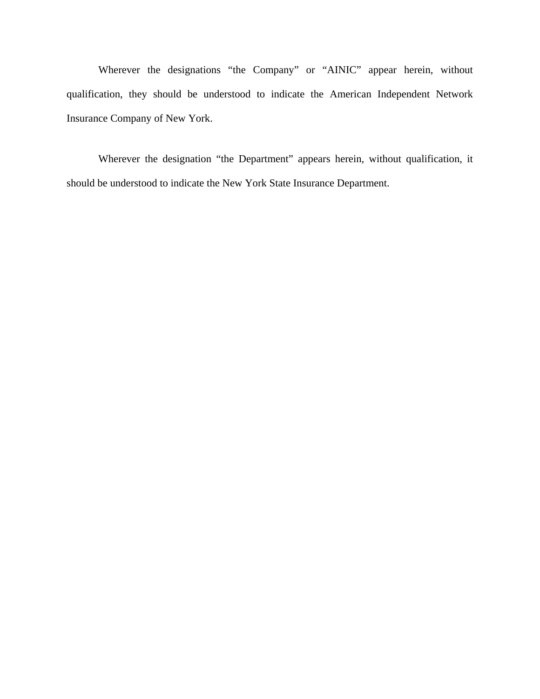Wherever the designations "the Company" or "AINIC" appear herein, without qualification, they should be understood to indicate the American Independent Network Insurance Company of New York.

Wherever the designation "the Department" appears herein, without qualification, it should be understood to indicate the New York State Insurance Department.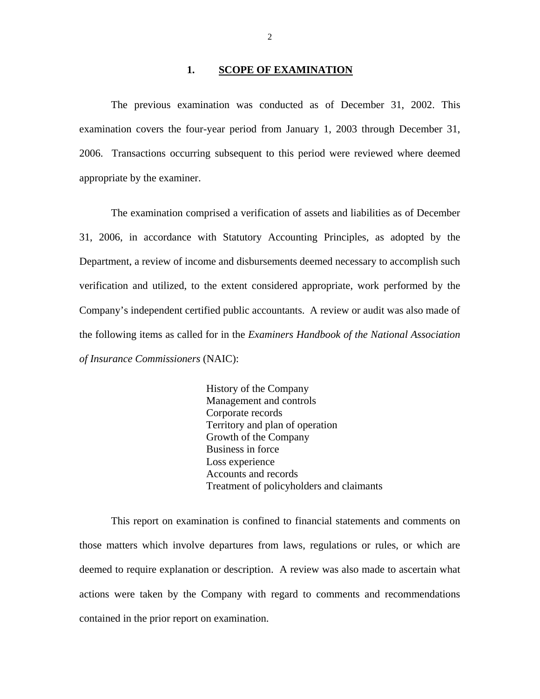#### **1. SCOPE OF EXAMINATION**

The previous examination was conducted as of December 31, 2002. This examination covers the four-year period from January 1, 2003 through December 31, 2006. Transactions occurring subsequent to this period were reviewed where deemed appropriate by the examiner.

The examination comprised a verification of assets and liabilities as of December 31, 2006, in accordance with Statutory Accounting Principles, as adopted by the Department, a review of income and disbursements deemed necessary to accomplish such verification and utilized, to the extent considered appropriate, work performed by the Company's independent certified public accountants. A review or audit was also made of the following items as called for in the *Examiners Handbook of the National Association of Insurance Commissioners* (NAIC):

 Loss experience History of the Company Management and controls Corporate records Territory and plan of operation Growth of the Company Business in force Accounts and records Treatment of policyholders and claimants

This report on examination is confined to financial statements and comments on those matters which involve departures from laws, regulations or rules, or which are deemed to require explanation or description. A review was also made to ascertain what actions were taken by the Company with regard to comments and recommendations contained in the prior report on examination.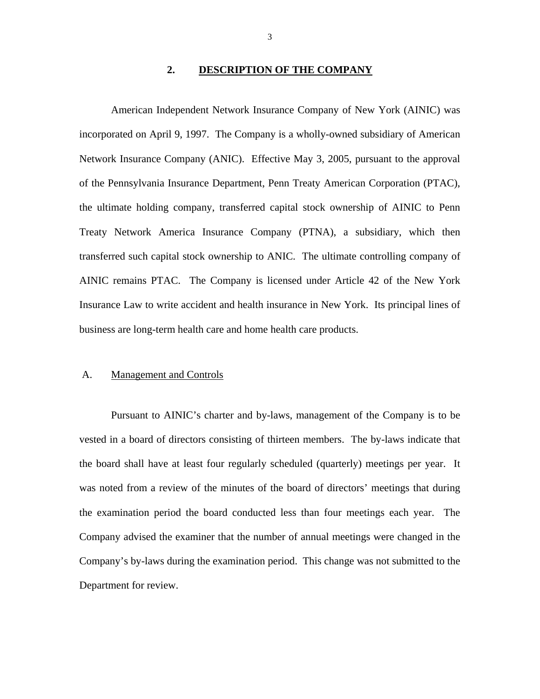#### **2. DESCRIPTION OF THE COMPANY**

<span id="page-5-0"></span>American Independent Network Insurance Company of New York (AINIC) was incorporated on April 9, 1997. The Company is a wholly-owned subsidiary of American Network Insurance Company (ANIC). Effective May 3, 2005, pursuant to the approval of the Pennsylvania Insurance Department, Penn Treaty American Corporation (PTAC), the ultimate holding company, transferred capital stock ownership of AINIC to Penn Treaty Network America Insurance Company (PTNA), a subsidiary, which then transferred such capital stock ownership to ANIC. The ultimate controlling company of AINIC remains PTAC. The Company is licensed under Article 42 of the New York Insurance Law to write accident and health insurance in New York. Its principal lines of business are long-term health care and home health care products.

#### A. Management and Controls

Pursuant to AINIC's charter and by-laws, management of the Company is to be vested in a board of directors consisting of thirteen members. The by-laws indicate that the board shall have at least four regularly scheduled (quarterly) meetings per year. It was noted from a review of the minutes of the board of directors' meetings that during the examination period the board conducted less than four meetings each year. The Company advised the examiner that the number of annual meetings were changed in the Company's by-laws during the examination period. This change was not submitted to the Department for review.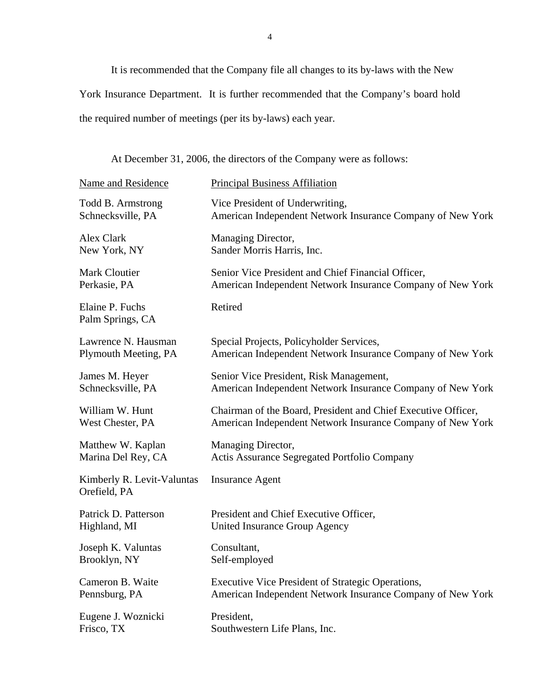It is recommended that the Company file all changes to its by-laws with the New

York Insurance Department. It is further recommended that the Company's board hold

the required number of meetings (per its by-laws) each year.

At December 31, 2006, the directors of the Company were as follows:

| Name and Residence                         | <b>Principal Business Affiliation</b>                         |
|--------------------------------------------|---------------------------------------------------------------|
| Todd B. Armstrong                          | Vice President of Underwriting,                               |
| Schnecksville, PA                          | American Independent Network Insurance Company of New York    |
| Alex Clark                                 | Managing Director,                                            |
| New York, NY                               | Sander Morris Harris, Inc.                                    |
| Mark Cloutier                              | Senior Vice President and Chief Financial Officer,            |
| Perkasie, PA                               | American Independent Network Insurance Company of New York    |
| Elaine P. Fuchs<br>Palm Springs, CA        | Retired                                                       |
| Lawrence N. Hausman                        | Special Projects, Policyholder Services,                      |
| Plymouth Meeting, PA                       | American Independent Network Insurance Company of New York    |
| James M. Heyer                             | Senior Vice President, Risk Management,                       |
| Schnecksville, PA                          | American Independent Network Insurance Company of New York    |
| William W. Hunt                            | Chairman of the Board, President and Chief Executive Officer, |
| West Chester, PA                           | American Independent Network Insurance Company of New York    |
| Matthew W. Kaplan                          | Managing Director,                                            |
| Marina Del Rey, CA                         | Actis Assurance Segregated Portfolio Company                  |
| Kimberly R. Levit-Valuntas<br>Orefield, PA | <b>Insurance Agent</b>                                        |
| Patrick D. Patterson                       | President and Chief Executive Officer,                        |
| Highland, MI                               | <b>United Insurance Group Agency</b>                          |
| Joseph K. Valuntas                         | Consultant,                                                   |
| Brooklyn, NY                               | Self-employed                                                 |
| Cameron B. Waite                           | Executive Vice President of Strategic Operations,             |
| Pennsburg, PA                              | American Independent Network Insurance Company of New York    |
| Eugene J. Woznicki                         | President,                                                    |
| Frisco, TX                                 | Southwestern Life Plans, Inc.                                 |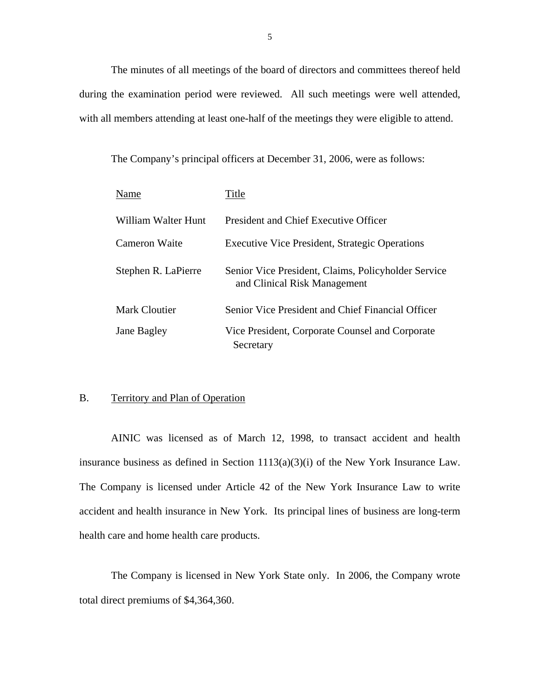The minutes of all meetings of the board of directors and committees thereof held during the examination period were reviewed. All such meetings were well attended, with all members attending at least one-half of the meetings they were eligible to attend.

The Company's principal officers at December 31, 2006, were as follows:

| Name                | Title                                                                               |
|---------------------|-------------------------------------------------------------------------------------|
| William Walter Hunt | President and Chief Executive Officer                                               |
| Cameron Waite       | <b>Executive Vice President, Strategic Operations</b>                               |
| Stephen R. LaPierre | Senior Vice President, Claims, Policyholder Service<br>and Clinical Risk Management |
| Mark Cloutier       | Senior Vice President and Chief Financial Officer                                   |
| Jane Bagley         | Vice President, Corporate Counsel and Corporate<br>Secretary                        |

#### B. Territory and Plan of Operation

AINIC was licensed as of March 12, 1998, to transact accident and health insurance business as defined in Section 1113(a)(3)(i) of the New York Insurance Law. The Company is licensed under Article 42 of the New York Insurance Law to write accident and health insurance in New York. Its principal lines of business are long-term health care and home health care products.

The Company is licensed in New York State only. In 2006, the Company wrote total direct premiums of \$4,364,360.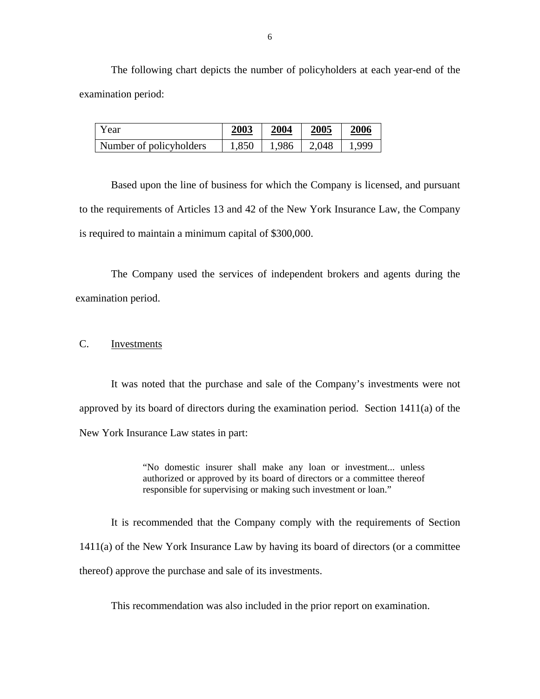The following chart depicts the number of policyholders at each year-end of the examination period:

| Year                    | 2003  | 2004  | 2005  | 2006 |
|-------------------------|-------|-------|-------|------|
| Number of policyholders | 1,850 | 1.986 | 2.048 | .999 |

Based upon the line of business for which the Company is licensed, and pursuant to the requirements of Articles 13 and 42 of the New York Insurance Law, the Company is required to maintain a minimum capital of \$300,000.

The Company used the services of independent brokers and agents during the examination period.

## C. Investments

It was noted that the purchase and sale of the Company's investments were not approved by its board of directors during the examination period. Section 1411(a) of the New York Insurance Law states in part:

> "No domestic insurer shall make any loan or investment... unless authorized or approved by its board of directors or a committee thereof responsible for supervising or making such investment or loan."

It is recommended that the Company comply with the requirements of Section 1411(a) of the New York Insurance Law by having its board of directors (or a committee thereof) approve the purchase and sale of its investments.

This recommendation was also included in the prior report on examination.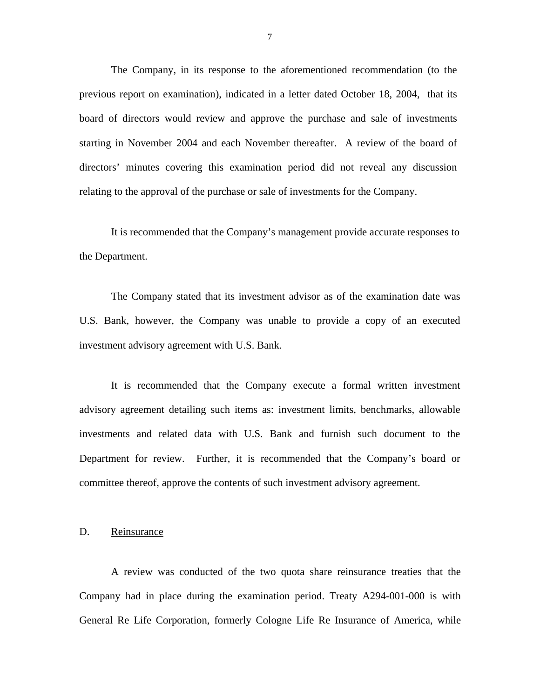<span id="page-9-0"></span>The Company, in its response to the aforementioned recommendation (to the previous report on examination), indicated in a letter dated October 18, 2004, that its board of directors would review and approve the purchase and sale of investments starting in November 2004 and each November thereafter. A review of the board of directors' minutes covering this examination period did not reveal any discussion relating to the approval of the purchase or sale of investments for the Company.

It is recommended that the Company's management provide accurate responses to the Department.

The Company stated that its investment advisor as of the examination date was U.S. Bank, however, the Company was unable to provide a copy of an executed investment advisory agreement with U.S. Bank.

It is recommended that the Company execute a formal written investment advisory agreement detailing such items as: investment limits, benchmarks, allowable investments and related data with U.S. Bank and furnish such document to the Department for review. Further, it is recommended that the Company's board or committee thereof, approve the contents of such investment advisory agreement.

#### D. Reinsurance

A review was conducted of the two quota share reinsurance treaties that the Company had in place during the examination period. Treaty A294-001-000 is with General Re Life Corporation, formerly Cologne Life Re Insurance of America, while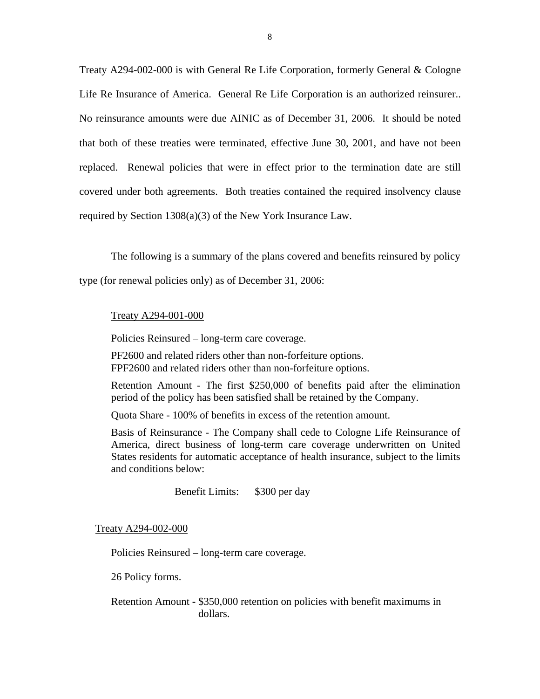Treaty A294-002-000 is with General Re Life Corporation, formerly General & Cologne Life Re Insurance of America. General Re Life Corporation is an authorized reinsurer.. No reinsurance amounts were due AINIC as of December 31, 2006. It should be noted that both of these treaties were terminated, effective June 30, 2001, and have not been replaced. Renewal policies that were in effect prior to the termination date are still covered under both agreements. Both treaties contained the required insolvency clause required by Section 1308(a)(3) of the New York Insurance Law.

The following is a summary of the plans covered and benefits reinsured by policy

type (for renewal policies only) as of December 31, 2006:

#### Treaty A294-001-000

Policies Reinsured – long-term care coverage.

PF2600 and related riders other than non-forfeiture options. FPF2600 and related riders other than non-forfeiture options.

 Retention Amount - The first \$250,000 of benefits paid after the elimination period of the policy has been satisfied shall be retained by the Company.

Quota Share - 100% of benefits in excess of the retention amount.

Basis of Reinsurance - The Company shall cede to Cologne Life Reinsurance of America, direct business of long-term care coverage underwritten on United States residents for automatic acceptance of health insurance, subject to the limits and conditions below:

Benefit Limits: \$300 per day

Treaty A294-002-000

Policies Reinsured – long-term care coverage.

26 Policy forms.

Retention Amount **-** \$350,000 retention on policies with benefit maximums in dollars.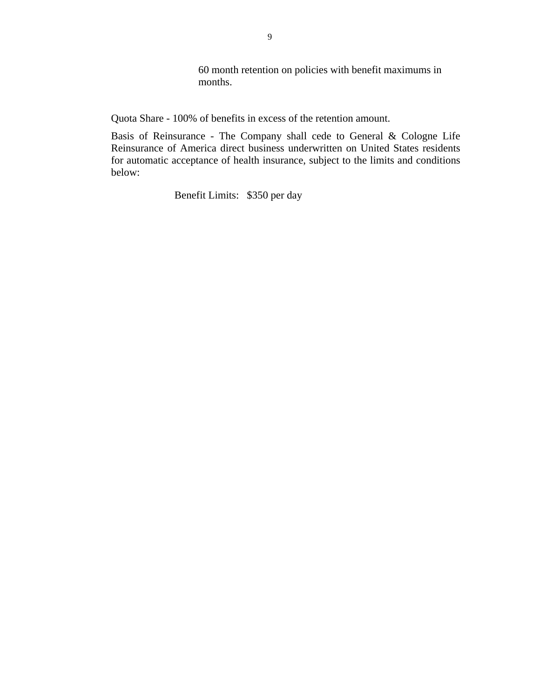60 month retention on policies with benefit maximums in months.

Quota Share - 100% of benefits in excess of the retention amount.

Basis of Reinsurance - The Company shall cede to General & Cologne Life Reinsurance of America direct business underwritten on United States residents for automatic acceptance of health insurance, subject to the limits and conditions below:

Benefit Limits: \$350 per day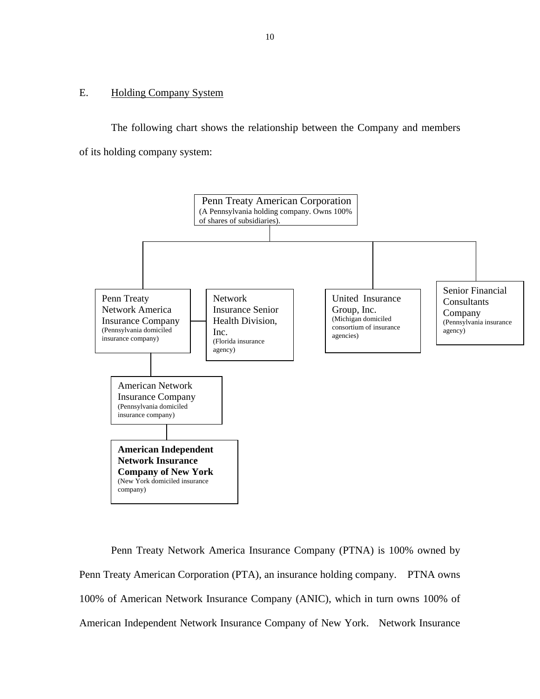# <span id="page-12-0"></span>E. Holding Company System

The following chart shows the relationship between the Company and members of its holding company system:



Penn Treaty Network America Insurance Company (PTNA) is 100% owned by Penn Treaty American Corporation (PTA), an insurance holding company. PTNA owns 100% of American Network Insurance Company (ANIC), which in turn owns 100% of American Independent Network Insurance Company of New York. Network Insurance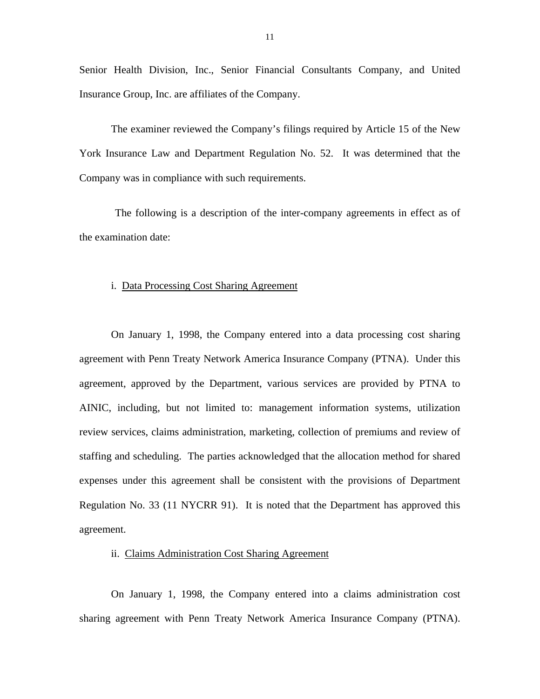Senior Health Division, Inc., Senior Financial Consultants Company, and United Insurance Group, Inc. are affiliates of the Company.

The examiner reviewed the Company's filings required by Article 15 of the New York Insurance Law and Department Regulation No. 52. It was determined that the Company was in compliance with such requirements.

The following is a description of the inter-company agreements in effect as of the examination date:

#### i. Data Processing Cost Sharing Agreement

On January 1, 1998, the Company entered into a data processing cost sharing agreement with Penn Treaty Network America Insurance Company (PTNA). Under this agreement, approved by the Department, various services are provided by PTNA to AINIC, including, but not limited to: management information systems, utilization review services, claims administration, marketing, collection of premiums and review of staffing and scheduling. The parties acknowledged that the allocation method for shared expenses under this agreement shall be consistent with the provisions of Department Regulation No. 33 (11 NYCRR 91). It is noted that the Department has approved this agreement.

#### ii. Claims Administration Cost Sharing Agreement

On January 1, 1998, the Company entered into a claims administration cost sharing agreement with Penn Treaty Network America Insurance Company (PTNA).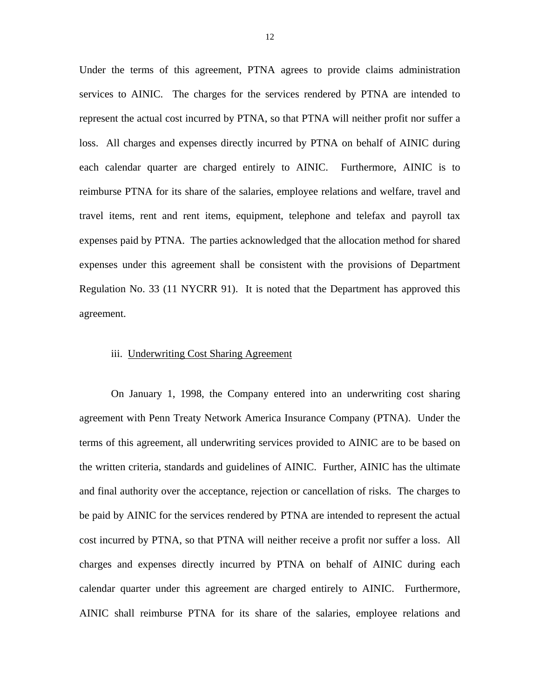Under the terms of this agreement, PTNA agrees to provide claims administration services to AINIC. The charges for the services rendered by PTNA are intended to represent the actual cost incurred by PTNA, so that PTNA will neither profit nor suffer a loss. All charges and expenses directly incurred by PTNA on behalf of AINIC during each calendar quarter are charged entirely to AINIC. Furthermore, AINIC is to reimburse PTNA for its share of the salaries, employee relations and welfare, travel and travel items, rent and rent items, equipment, telephone and telefax and payroll tax expenses paid by PTNA. The parties acknowledged that the allocation method for shared expenses under this agreement shall be consistent with the provisions of Department Regulation No. 33 (11 NYCRR 91). It is noted that the Department has approved this agreement.

#### iii. Underwriting Cost Sharing Agreement

On January 1, 1998, the Company entered into an underwriting cost sharing agreement with Penn Treaty Network America Insurance Company (PTNA). Under the terms of this agreement, all underwriting services provided to AINIC are to be based on the written criteria, standards and guidelines of AINIC. Further, AINIC has the ultimate and final authority over the acceptance, rejection or cancellation of risks. The charges to be paid by AINIC for the services rendered by PTNA are intended to represent the actual cost incurred by PTNA, so that PTNA will neither receive a profit nor suffer a loss. All charges and expenses directly incurred by PTNA on behalf of AINIC during each calendar quarter under this agreement are charged entirely to AINIC. Furthermore, AINIC shall reimburse PTNA for its share of the salaries, employee relations and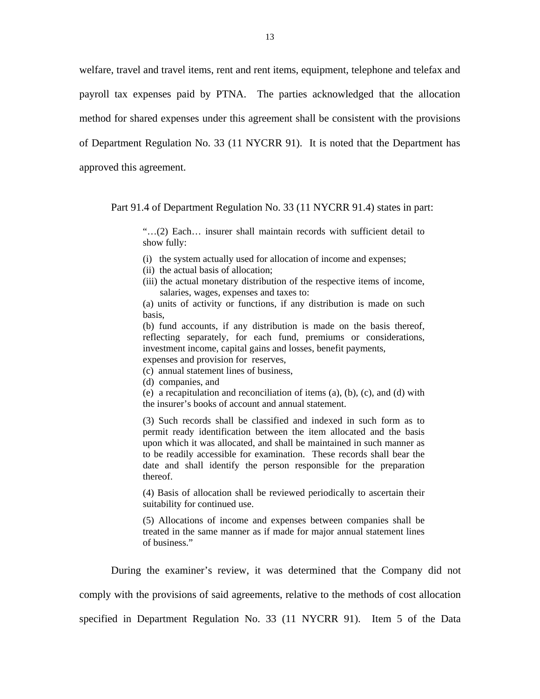welfare, travel and travel items, rent and rent items, equipment, telephone and telefax and payroll tax expenses paid by PTNA. The parties acknowledged that the allocation method for shared expenses under this agreement shall be consistent with the provisions of Department Regulation No. 33 (11 NYCRR 91). It is noted that the Department has approved this agreement.

Part 91.4 of Department Regulation No. 33 (11 NYCRR 91.4) states in part:

"…(2) Each… insurer shall maintain records with sufficient detail to show fully:

- (i) the system actually used for allocation of income and expenses;
- (ii) the actual basis of allocation;
- (iii) the actual monetary distribution of the respective items of income, salaries, wages, expenses and taxes to:

(a) units of activity or functions, if any distribution is made on such basis,

(b) fund accounts, if any distribution is made on the basis thereof, reflecting separately, for each fund, premiums or considerations, investment income, capital gains and losses, benefit payments, expenses and provision for reserves,

- (c) annual statement lines of business,
- (d) companies, and
- (e) a recapitulation and reconciliation of items (a), (b), (c), and (d) with the insurer's books of account and annual statement.

(3) Such records shall be classified and indexed in such form as to permit ready identification between the item allocated and the basis upon which it was allocated, and shall be maintained in such manner as to be readily accessible for examination. These records shall bear the date and shall identify the person responsible for the preparation thereof.

(4) Basis of allocation shall be reviewed periodically to ascertain their suitability for continued use.

(5) Allocations of income and expenses between companies shall be treated in the same manner as if made for major annual statement lines of business."

During the examiner's review, it was determined that the Company did not

comply with the provisions of said agreements, relative to the methods of cost allocation

specified in Department Regulation No. 33 (11 NYCRR 91). Item 5 of the Data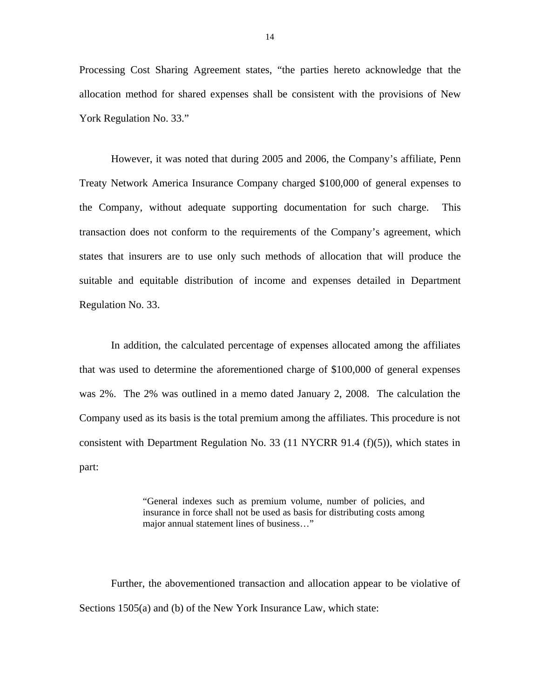Processing Cost Sharing Agreement states, "the parties hereto acknowledge that the allocation method for shared expenses shall be consistent with the provisions of New York Regulation No. 33."

However, it was noted that during 2005 and 2006, the Company's affiliate, Penn Treaty Network America Insurance Company charged \$100,000 of general expenses to the Company, without adequate supporting documentation for such charge. This transaction does not conform to the requirements of the Company's agreement, which states that insurers are to use only such methods of allocation that will produce the suitable and equitable distribution of income and expenses detailed in Department Regulation No. 33.

In addition, the calculated percentage of expenses allocated among the affiliates that was used to determine the aforementioned charge of \$100,000 of general expenses was 2%. The 2% was outlined in a memo dated January 2, 2008. The calculation the Company used as its basis is the total premium among the affiliates. This procedure is not consistent with Department Regulation No. 33 (11 NYCRR 91.4 (f)(5)), which states in part:

> "General indexes such as premium volume, number of policies, and insurance in force shall not be used as basis for distributing costs among major annual statement lines of business…"

Further, the abovementioned transaction and allocation appear to be violative of Sections 1505(a) and (b) of the New York Insurance Law, which state: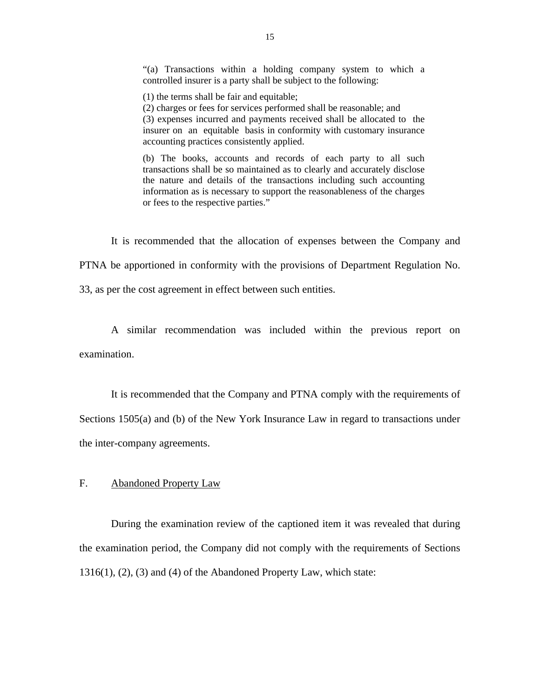<span id="page-17-0"></span>"(a) Transactions within a holding company system to which a controlled insurer is a party shall be subject to the following:

(1) the terms shall be fair and equitable;

(2) charges or fees for services performed shall be reasonable; and (3) expenses incurred and payments received shall be allocated to the insurer on an equitable basis in conformity with customary insurance accounting practices consistently applied.

(b) The books, accounts and records of each party to all such transactions shall be so maintained as to clearly and accurately disclose the nature and details of the transactions including such accounting information as is necessary to support the reasonableness of the charges or fees to the respective parties."

It is recommended that the allocation of expenses between the Company and PTNA be apportioned in conformity with the provisions of Department Regulation No.

33, as per the cost agreement in effect between such entities.

A similar recommendation was included within the previous report on examination.

It is recommended that the Company and PTNA comply with the requirements of Sections 1505(a) and (b) of the New York Insurance Law in regard to transactions under the inter-company agreements.

#### F. Abandoned Property Law

During the examination review of the captioned item it was revealed that during the examination period, the Company did not comply with the requirements of Sections 1316(1), (2), (3) and (4) of the Abandoned Property Law, which state: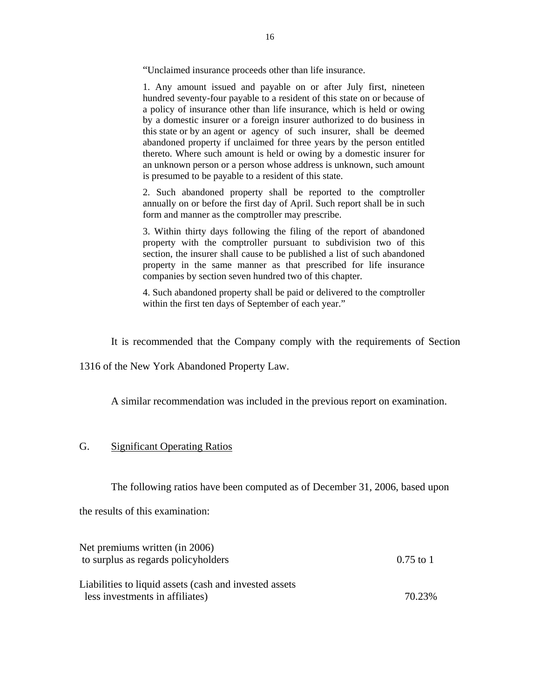<span id="page-18-0"></span>"Unclaimed insurance proceeds other than life insurance.

 this state or by an agent or agency of such insurer, shall be deemed 1. Any amount issued and payable on or after July first, nineteen hundred seventy-four payable to a resident of this state on or because of a policy of insurance other than life insurance, which is held or owing by a domestic insurer or a foreign insurer authorized to do business in abandoned property if unclaimed for three years by the person entitled thereto. Where such amount is held or owing by a domestic insurer for an unknown person or a person whose address is unknown, such amount is presumed to be payable to a resident of this state.

2. Such abandoned property shall be reported to the comptroller annually on or before the first day of April. Such report shall be in such form and manner as the comptroller may prescribe.

3. Within thirty days following the filing of the report of abandoned property with the comptroller pursuant to subdivision two of this section, the insurer shall cause to be published a list of such abandoned property in the same manner as that prescribed for life insurance companies by section seven hundred two of this chapter.

4. Such abandoned property shall be paid or delivered to the comptroller within the first ten days of September of each year."

It is recommended that the Company comply with the requirements of Section

1316 of the New York Abandoned Property Law.

A similar recommendation was included in the previous report on examination.

## G. Significant Operating Ratios

The following ratios have been computed as of December 31, 2006, based upon

the results of this examination:

| Net premiums written (in 2006)                          |             |
|---------------------------------------------------------|-------------|
| to surplus as regards policyholders                     | $0.75$ to 1 |
|                                                         |             |
| Liabilities to liquid assets (cash and invested assets) |             |
| less investments in affiliates)                         | 70.23%      |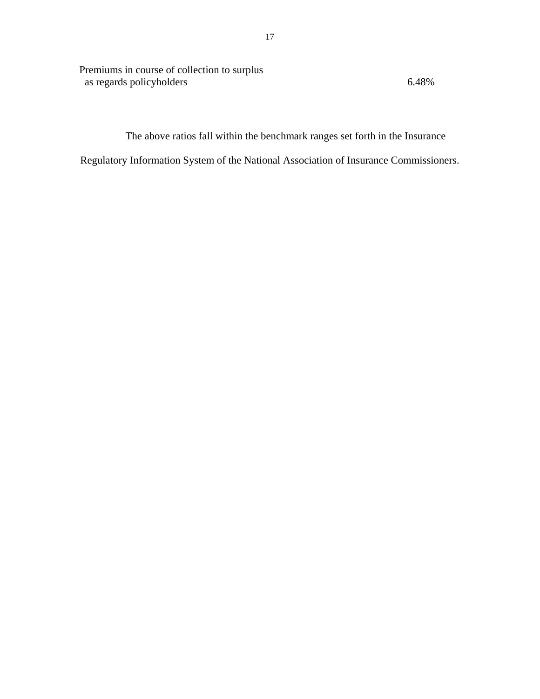Premiums in course of collection to surplus as regards policyholders 6.48%

The above ratios fall within the benchmark ranges set forth in the Insurance

Regulatory Information System of the National Association of Insurance Commissioners.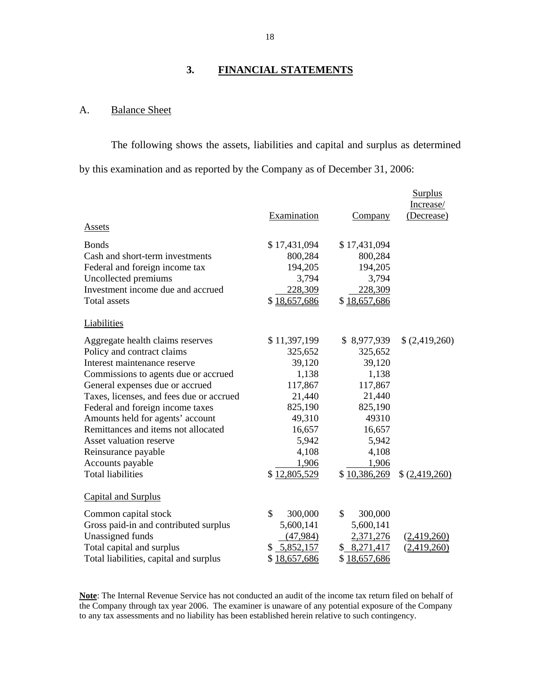# **3. FINANCIAL STATEMENTS**

# A. Balance Sheet

The following shows the assets, liabilities and capital and surplus as determined by this examination and as reported by the Company as of December 31, 2006:

|                                          | Examination   | Company       | <b>Surplus</b><br>Increase/<br>(Decrease) |
|------------------------------------------|---------------|---------------|-------------------------------------------|
| <b>Assets</b>                            |               |               |                                           |
| <b>Bonds</b>                             | \$17,431,094  | \$17,431,094  |                                           |
| Cash and short-term investments          | 800,284       | 800,284       |                                           |
| Federal and foreign income tax           | 194,205       | 194,205       |                                           |
| Uncollected premiums                     | 3,794         | 3,794         |                                           |
| Investment income due and accrued        | 228,309       | 228,309       |                                           |
| <b>Total assets</b>                      | \$18,657,686  | \$18,657,686  |                                           |
| Liabilities                              |               |               |                                           |
| Aggregate health claims reserves         | \$11,397,199  | \$8,977,939   | \$(2,419,260)                             |
| Policy and contract claims               | 325,652       | 325,652       |                                           |
| Interest maintenance reserve             | 39,120        | 39,120        |                                           |
| Commissions to agents due or accrued     | 1,138         | 1,138         |                                           |
| General expenses due or accrued          | 117,867       | 117,867       |                                           |
| Taxes, licenses, and fees due or accrued | 21,440        | 21,440        |                                           |
| Federal and foreign income taxes         | 825,190       | 825,190       |                                           |
| Amounts held for agents' account         | 49,310        | 49310         |                                           |
| Remittances and items not allocated      | 16,657        | 16,657        |                                           |
| Asset valuation reserve                  | 5,942         | 5,942         |                                           |
| Reinsurance payable                      | 4,108         | 4,108         |                                           |
| Accounts payable                         | 1,906         | 1,906         |                                           |
| <b>Total liabilities</b>                 | \$12,805,529  | \$10,386,269  | \$(2,419,260)                             |
| <b>Capital and Surplus</b>               |               |               |                                           |
| Common capital stock                     | \$<br>300,000 | \$<br>300,000 |                                           |
| Gross paid-in and contributed surplus    | 5,600,141     | 5,600,141     |                                           |
| Unassigned funds                         | (47, 984)     | 2,371,276     | (2,419,260)                               |
| Total capital and surplus                | \$ 5,852,157  | \$ 8,271,417  | (2,419,260)                               |
| Total liabilities, capital and surplus   | \$18,657,686  | \$18,657,686  |                                           |

 **Note**: The Internal Revenue Service has not conducted an audit of the income tax return filed on behalf of the Company through tax year 2006. The examiner is unaware of any potential exposure of the Company to any tax assessments and no liability has been established herein relative to such contingency.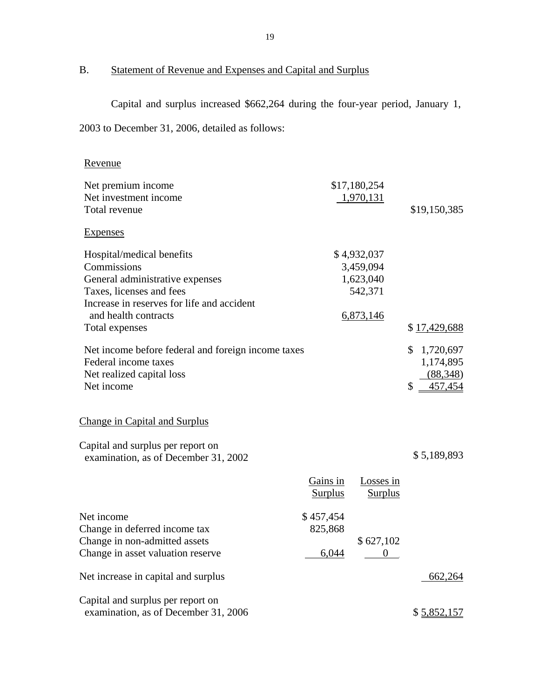B. Statement of Revenue and Expenses and Capital and Surplus

Capital and surplus increased \$662,264 during the four-year period, January 1,

| 2003 to December 31, 2006, detailed as follows:                                                                       |                               |                                                  |                                                           |
|-----------------------------------------------------------------------------------------------------------------------|-------------------------------|--------------------------------------------------|-----------------------------------------------------------|
| Revenue                                                                                                               |                               |                                                  |                                                           |
| Net premium income<br>Net investment income<br>Total revenue                                                          |                               | \$17,180,254<br>1,970,131                        | \$19,150,385                                              |
| <b>Expenses</b>                                                                                                       |                               |                                                  |                                                           |
| Hospital/medical benefits<br>Commissions<br>General administrative expenses<br>Taxes, licenses and fees               |                               | \$4,932,037<br>3,459,094<br>1,623,040<br>542,371 |                                                           |
| Increase in reserves for life and accident<br>and health contracts<br>Total expenses                                  |                               | 6,873,146                                        | \$17,429,688                                              |
| Net income before federal and foreign income taxes<br>Federal income taxes<br>Net realized capital loss<br>Net income |                               |                                                  | \$<br>1,720,697<br>1,174,895<br>(88,348)<br>\$<br>457,454 |
| <b>Change in Capital and Surplus</b>                                                                                  |                               |                                                  |                                                           |
| Capital and surplus per report on<br>examination, as of December 31, 2002                                             |                               |                                                  | \$5,189,893                                               |
|                                                                                                                       | Gains in<br><b>Surplus</b>    | Losses in<br><b>Surplus</b>                      |                                                           |
| Net income<br>Change in deferred income tax<br>Change in non-admitted assets<br>Change in asset valuation reserve     | \$457,454<br>825,868<br>6,044 | \$627,102                                        |                                                           |
| Net increase in capital and surplus                                                                                   |                               |                                                  | 662,264                                                   |
| Capital and surplus per report on<br>examination, as of December 31, 2006                                             |                               |                                                  | \$5,852,157                                               |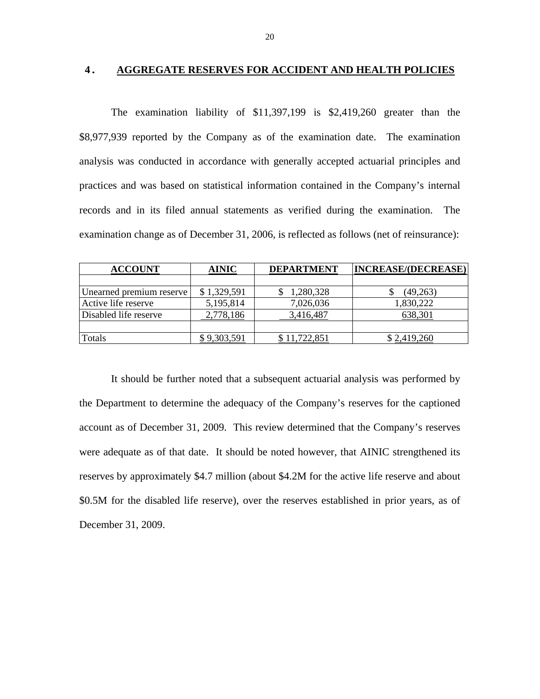#### **4. AGGREGATE RESERVES FOR ACCIDENT AND HEALTH POLICIES**

The examination liability of \$11,397,199 is \$2,419,260 greater than the \$8,977,939 reported by the Company as of the examination date. The examination analysis was conducted in accordance with generally accepted actuarial principles and practices and was based on statistical information contained in the Company's internal records and in its filed annual statements as verified during the examination. The examination change as of December 31, 2006, is reflected as follows (net of reinsurance):

| <b>ACCOUNT</b>           | <b>AINIC</b> | <b>DEPARTMENT</b> | <b>INCREASE/(DECREASE)</b> |
|--------------------------|--------------|-------------------|----------------------------|
|                          |              |                   |                            |
| Unearned premium reserve | \$1,329,591  | 1,280,328         | (49,263)                   |
| Active life reserve      | 5,195,814    | 7,026,036         | 1,830,222                  |
| Disabled life reserve    | 2,778,186    | 3,416,487         | 638,301                    |
|                          |              |                   |                            |
| Totals                   | 9,303,591    | 11,722,851        | \$2,419,260                |

It should be further noted that a subsequent actuarial analysis was performed by the Department to determine the adequacy of the Company's reserves for the captioned account as of December 31, 2009. This review determined that the Company's reserves were adequate as of that date. It should be noted however, that AINIC strengthened its reserves by approximately \$4.7 million (about \$4.2M for the active life reserve and about \$0.5M for the disabled life reserve), over the reserves established in prior years, as of December 31, 2009.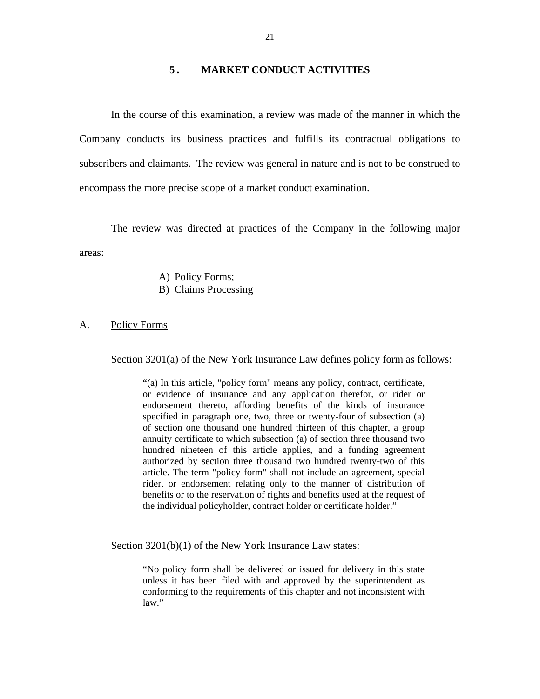### **5. MARKET CONDUCT ACTIVITIES**

<span id="page-23-0"></span>In the course of this examination, a review was made of the manner in which the Company conducts its business practices and fulfills its contractual obligations to subscribers and claimants. The review was general in nature and is not to be construed to encompass the more precise scope of a market conduct examination.

The review was directed at practices of the Company in the following major areas:

- A) Policy Forms;
- B) Claims Processing

#### A. Policy Forms

Section 3201(a) of the New York Insurance Law defines policy form as follows:

"(a) In this article, "policy form" means any policy, contract, certificate, or evidence of insurance and any application therefor, or rider or endorsement thereto, affording benefits of the kinds of insurance specified in paragraph one, two, three or twenty-four of subsection (a) of section one thousand one hundred thirteen of this chapter, a group annuity certificate to which subsection (a) of section three thousand two hundred nineteen of this article applies, and a funding agreement authorized by section three thousand two hundred twenty-two of this article. The term "policy form" shall not include an agreement, special rider, or endorsement relating only to the manner of distribution of benefits or to the reservation of rights and benefits used at the request of the individual policyholder, contract holder or certificate holder."

Section 3201(b)(1) of the New York Insurance Law states:

"No policy form shall be delivered or issued for delivery in this state unless it has been filed with and approved by the superintendent as conforming to the requirements of this chapter and not inconsistent with law."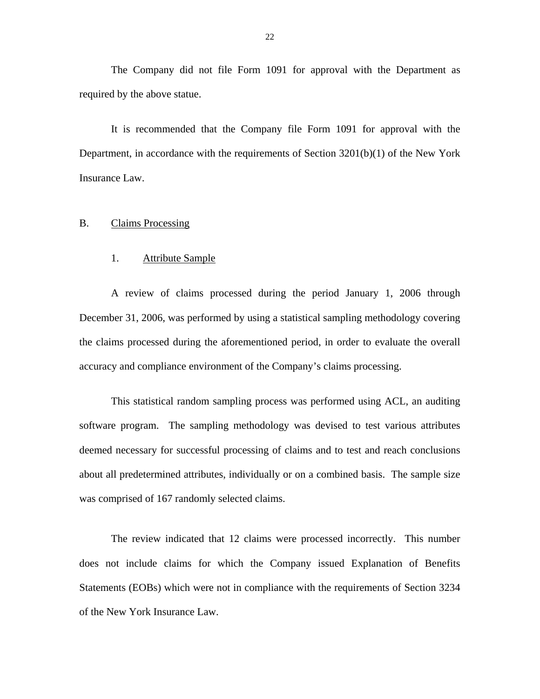<span id="page-24-0"></span>The Company did not file Form 1091 for approval with the Department as required by the above statue.

It is recommended that the Company file Form 1091 for approval with the Department, in accordance with the requirements of Section  $3201(b)(1)$  of the New York Insurance Law.

## B. Claims Processing

#### 1. Attribute Sample

A review of claims processed during the period January 1, 2006 through December 31, 2006, was performed by using a statistical sampling methodology covering the claims processed during the aforementioned period, in order to evaluate the overall accuracy and compliance environment of the Company's claims processing.

This statistical random sampling process was performed using ACL, an auditing software program. The sampling methodology was devised to test various attributes deemed necessary for successful processing of claims and to test and reach conclusions about all predetermined attributes, individually or on a combined basis. The sample size was comprised of 167 randomly selected claims.

The review indicated that 12 claims were processed incorrectly. This number does not include claims for which the Company issued Explanation of Benefits Statements (EOBs) which were not in compliance with the requirements of Section 3234 of the New York Insurance Law.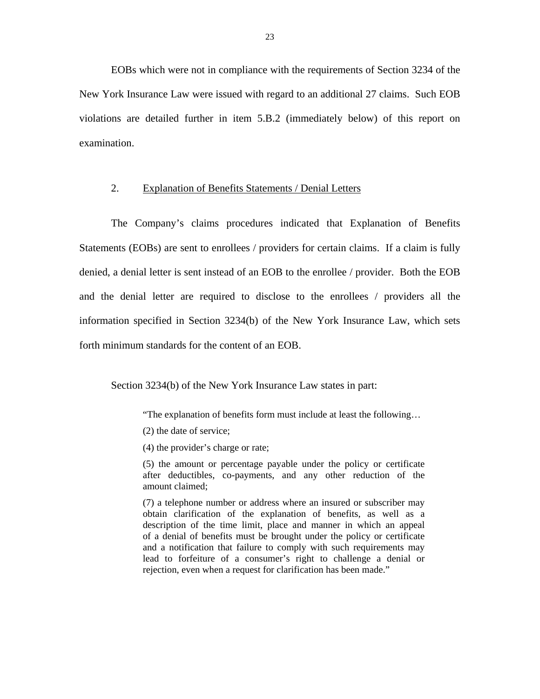EOBs which were not in compliance with the requirements of Section 3234 of the New York Insurance Law were issued with regard to an additional 27 claims. Such EOB violations are detailed further in item 5.B.2 (immediately below) of this report on examination.

#### 2. Explanation of Benefits Statements / Denial Letters

The Company's claims procedures indicated that Explanation of Benefits Statements (EOBs) are sent to enrollees / providers for certain claims. If a claim is fully denied, a denial letter is sent instead of an EOB to the enrollee / provider. Both the EOB and the denial letter are required to disclose to the enrollees / providers all the information specified in Section 3234(b) of the New York Insurance Law, which sets forth minimum standards for the content of an EOB.

Section 3234(b) of the New York Insurance Law states in part:

"The explanation of benefits form must include at least the following…

- (2) the date of service;
- (4) the provider's charge or rate;

 after deductibles, co-payments, and any other reduction of the amount claimed; (5) the amount or percentage payable under the policy or certificate

(7) a telephone number or address where an insured or subscriber may obtain clarification of the explanation of benefits, as well as a description of the time limit, place and manner in which an appeal of a denial of benefits must be brought under the policy or certificate and a notification that failure to comply with such requirements may lead to forfeiture of a consumer's right to challenge a denial or rejection, even when a request for clarification has been made."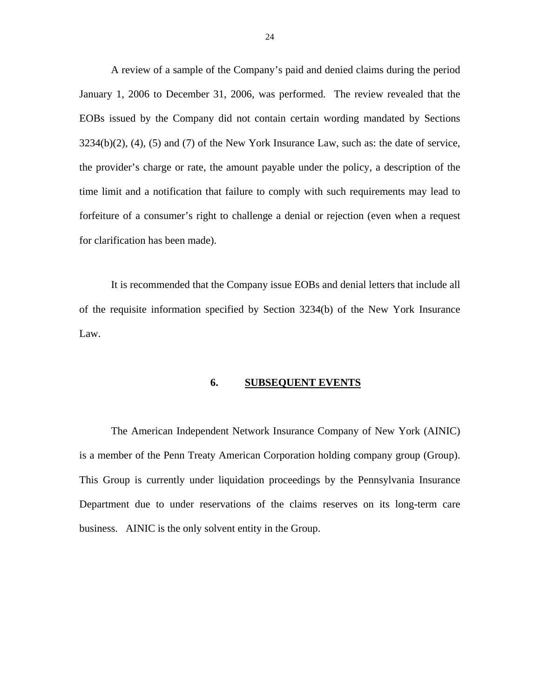<span id="page-26-0"></span>A review of a sample of the Company's paid and denied claims during the period January 1, 2006 to December 31, 2006, was performed. The review revealed that the EOBs issued by the Company did not contain certain wording mandated by Sections  $3234(b)(2)$ ,  $(4)$ ,  $(5)$  and  $(7)$  of the New York Insurance Law, such as: the date of service, the provider's charge or rate, the amount payable under the policy, a description of the time limit and a notification that failure to comply with such requirements may lead to forfeiture of a consumer's right to challenge a denial or rejection (even when a request for clarification has been made).

It is recommended that the Company issue EOBs and denial letters that include all of the requisite information specified by Section 3234(b) of the New York Insurance Law.

#### **6. SUBSEQUENT EVENTS**

The American Independent Network Insurance Company of New York (AINIC) is a member of the Penn Treaty American Corporation holding company group (Group). This Group is currently under liquidation proceedings by the Pennsylvania Insurance Department due to under reservations of the claims reserves on its long-term care business. AINIC is the only solvent entity in the Group.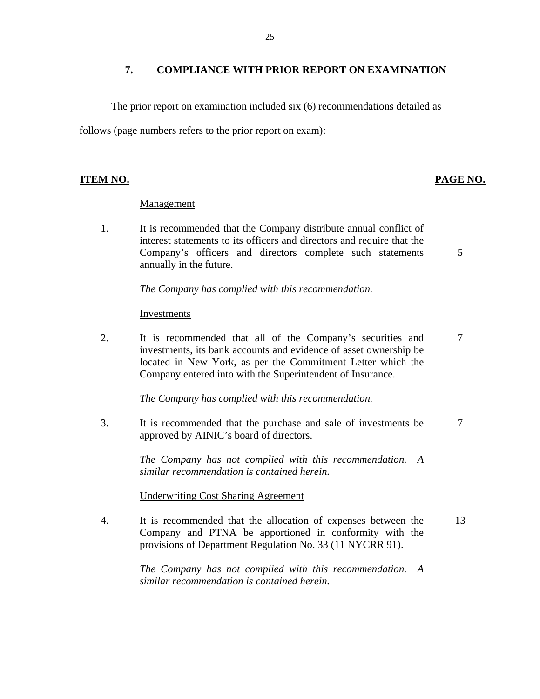# <span id="page-27-0"></span>**7. COMPLIANCE WITH PRIOR REPORT ON EXAMINATION**

The prior report on examination included six (6) recommendations detailed as

follows (page numbers refers to the prior report on exam):

# **ITEM NO. PAGE NO.**

# Management

1. It is recommended that the Company distribute annual conflict of interest statements to its officers and directors and require that the Company's officers and directors complete such statements 5 annually in the future.

*The Company has complied with this recommendation.* 

# Investments

2. It is recommended that all of the Company's securities and 7 investments, its bank accounts and evidence of asset ownership be located in New York, as per the Commitment Letter which the Company entered into with the Superintendent of Insurance.

*The Company has complied with this recommendation.* 

3. It is recommended that the purchase and sale of investments be 7 approved by AINIC's board of directors.

> *The Company has not complied with this recommendation. A similar recommendation is contained herein.*

## Underwriting Cost Sharing Agreement

4. It is recommended that the allocation of expenses between the 13 Company and PTNA be apportioned in conformity with the provisions of Department Regulation No. 33 (11 NYCRR 91).

> *The Company has not complied with this recommendation. A similar recommendation is contained herein.*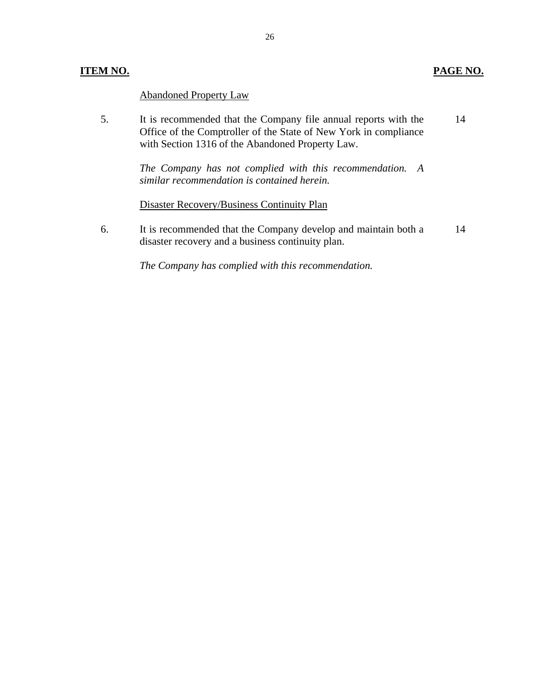# **ITEM NO.**

## **PAGE NO.**

Abandoned Property Law

5. It is recommended that the Company file annual reports with the 14 Office of the Comptroller of the State of New York in compliance with Section 1316 of the Abandoned Property Law.

> *The Company has not complied with this recommendation. A similar recommendation is contained herein.*

# Disaster Recovery/Business Continuity Plan

6. It is recommended that the Company develop and maintain both a 14 disaster recovery and a business continuity plan.

*The Company has complied with this recommendation.*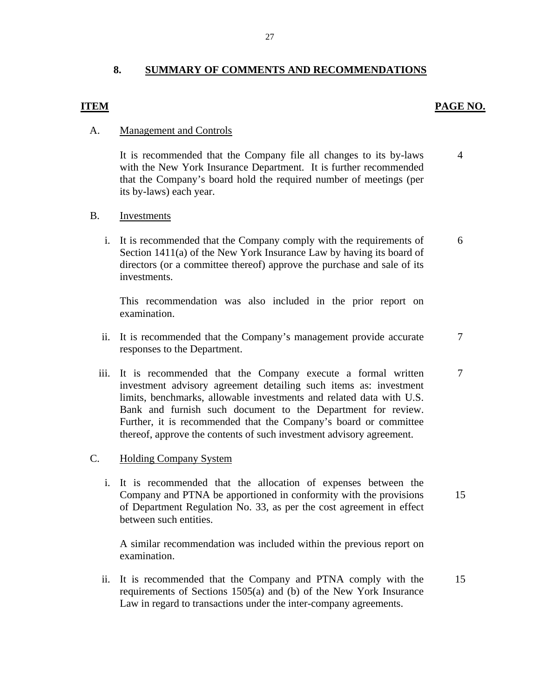# **8. SUMMARY OF COMMENTS AND RECOMMENDATIONS**

## **ITEM**

#### **PAGE NO.**

7

7

15

#### A. Management and Controls

It is recommended that the Company file all changes to its by-laws with the New York Insurance Department. It is further recommended that the Company's board hold the required number of meetings (per its by-laws) each year. 4

#### Investments

B. Investments<br>i. It is recommended that the Company comply with the requirements of Section 1411(a) of the New York Insurance Law by having its board of directors (or a committee thereof) approve the purchase and sale of its investments. 6

This recommendation was also included in the prior report on examination.

- ii. It is recommended that the Company's management provide accurate responses to the Department.
- iii. It is recommended that the Company execute a formal written investment advisory agreement detailing such items as: investment limits, benchmarks, allowable investments and related data with U.S. Bank and furnish such document to the Department for review. Further, it is recommended that the Company's board or committee thereof, approve the contents of such investment advisory agreement.

#### C. Holding Company System

i. It is recommended that the allocation of expenses between the Company and PTNA be apportioned in conformity with the provisions of Department Regulation No. 33, as per the cost agreement in effect between such entities.

A similar recommendation was included within the previous report on examination.

ii. It is recommended that the Company and PTNA comply with the requirements of Sections 1505(a) and (b) of the New York Insurance Law in regard to transactions under the inter-company agreements. 15

27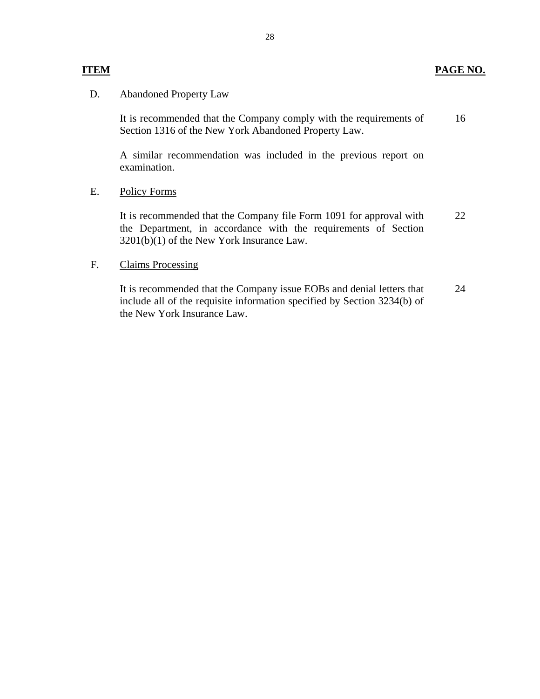### **ITEM PAGE NO.**

# D. Abandoned Property Law

It is recommended that the Company comply with the requirements of Section 1316 of the New York Abandoned Property Law. 16

A similar recommendation was included in the previous report on examination.

#### E. Policy Forms

It is recommended that the Company file Form 1091 for approval with the Department, in accordance with the requirements of Section 3201(b)(1) of the New York Insurance Law. 22

## F. Claims Processing

It is recommended that the Company issue EOBs and denial letters that include all of the requisite information specified by Section 3234(b) of the New York Insurance Law. 24